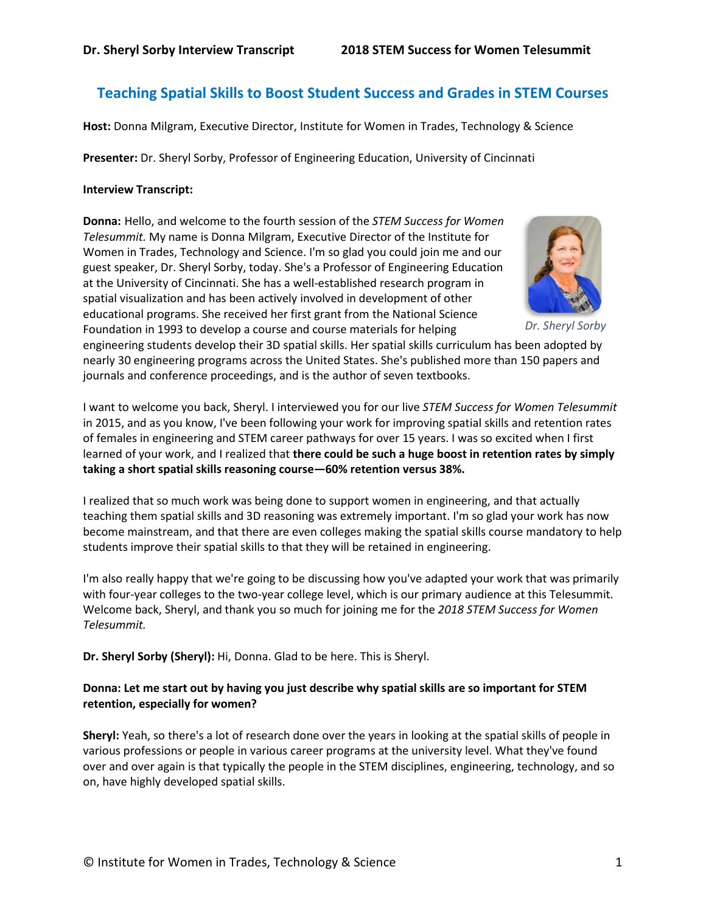# **Teaching Spatial Skills to Boost Student Success and Grades in STEM Courses**

**Host:** Donna Milgram, Executive Director, Institute for Women in Trades, Technology & Science

**Presenter:** Dr. Sheryl Sorby, Professor of Engineering Education, University of Cincinnati

### **Interview Transcript:**

**Donna:** Hello, and welcome to the fourth session of the *STEM Success for Women Telesummit.* My name is Donna Milgram, Executive Director of the Institute for Women in Trades, Technology and Science. I'm so glad you could join me and our guest speaker, Dr. Sheryl Sorby, today. She's a Professor of Engineering Education at the University of Cincinnati. She has a well-established research program in spatial visualization and has been actively involved in development of other educational programs. She received her first grant from the National Science Foundation in 1993 to develop a course and course materials for helping



*Dr. Sheryl Sorby*

engineering students develop their 3D spatial skills. Her spatial skills curriculum has been adopted by nearly 30 engineering programs across the United States. She's published more than 150 papers and journals and conference proceedings, and is the author of seven textbooks.

I want to welcome you back, Sheryl. I interviewed you for our live *STEM Success for Women Telesummit* in 2015, and as you know, I've been following your work for improving spatial skills and retention rates of females in engineering and STEM career pathways for over 15 years. I was so excited when I first learned of your work, and I realized that **there could be such a huge boost in retention rates by simply taking a short spatial skills reasoning course—60% retention versus 38%.**

I realized that so much work was being done to support women in engineering, and that actually teaching them spatial skills and 3D reasoning was extremely important. I'm so glad your work has now become mainstream, and that there are even colleges making the spatial skills course mandatory to help students improve their spatial skills to that they will be retained in engineering.

I'm also really happy that we're going to be discussing how you've adapted your work that was primarily with four-year colleges to the two-year college level, which is our primary audience at this Telesummit. Welcome back, Sheryl, and thank you so much for joining me for the *2018 STEM Success for Women Telesummit.*

**Dr. Sheryl Sorby (Sheryl):** Hi, Donna. Glad to be here. This is Sheryl.

# **Donna: Let me start out by having you just describe why spatial skills are so important for STEM retention, especially for women?**

**Sheryl:** Yeah, so there's a lot of research done over the years in looking at the spatial skills of people in various professions or people in various career programs at the university level. What they've found over and over again is that typically the people in the STEM disciplines, engineering, technology, and so on, have highly developed spatial skills.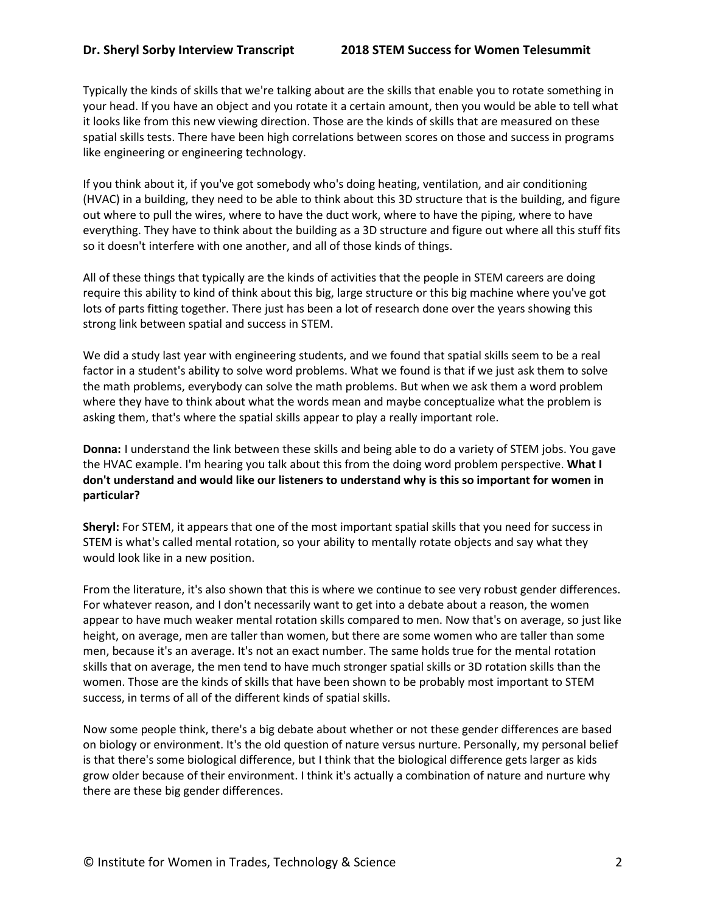Typically the kinds of skills that we're talking about are the skills that enable you to rotate something in your head. If you have an object and you rotate it a certain amount, then you would be able to tell what it looks like from this new viewing direction. Those are the kinds of skills that are measured on these spatial skills tests. There have been high correlations between scores on those and success in programs like engineering or engineering technology.

If you think about it, if you've got somebody who's doing heating, ventilation, and air conditioning (HVAC) in a building, they need to be able to think about this 3D structure that is the building, and figure out where to pull the wires, where to have the duct work, where to have the piping, where to have everything. They have to think about the building as a 3D structure and figure out where all this stuff fits so it doesn't interfere with one another, and all of those kinds of things.

All of these things that typically are the kinds of activities that the people in STEM careers are doing require this ability to kind of think about this big, large structure or this big machine where you've got lots of parts fitting together. There just has been a lot of research done over the years showing this strong link between spatial and success in STEM.

We did a study last year with engineering students, and we found that spatial skills seem to be a real factor in a student's ability to solve word problems. What we found is that if we just ask them to solve the math problems, everybody can solve the math problems. But when we ask them a word problem where they have to think about what the words mean and maybe conceptualize what the problem is asking them, that's where the spatial skills appear to play a really important role.

**Donna:** I understand the link between these skills and being able to do a variety of STEM jobs. You gave the HVAC example. I'm hearing you talk about this from the doing word problem perspective. **What I don't understand and would like our listeners to understand why is this so important for women in particular?**

**Sheryl:** For STEM, it appears that one of the most important spatial skills that you need for success in STEM is what's called mental rotation, so your ability to mentally rotate objects and say what they would look like in a new position.

From the literature, it's also shown that this is where we continue to see very robust gender differences. For whatever reason, and I don't necessarily want to get into a debate about a reason, the women appear to have much weaker mental rotation skills compared to men. Now that's on average, so just like height, on average, men are taller than women, but there are some women who are taller than some men, because it's an average. It's not an exact number. The same holds true for the mental rotation skills that on average, the men tend to have much stronger spatial skills or 3D rotation skills than the women. Those are the kinds of skills that have been shown to be probably most important to STEM success, in terms of all of the different kinds of spatial skills.

Now some people think, there's a big debate about whether or not these gender differences are based on biology or environment. It's the old question of nature versus nurture. Personally, my personal belief is that there's some biological difference, but I think that the biological difference gets larger as kids grow older because of their environment. I think it's actually a combination of nature and nurture why there are these big gender differences.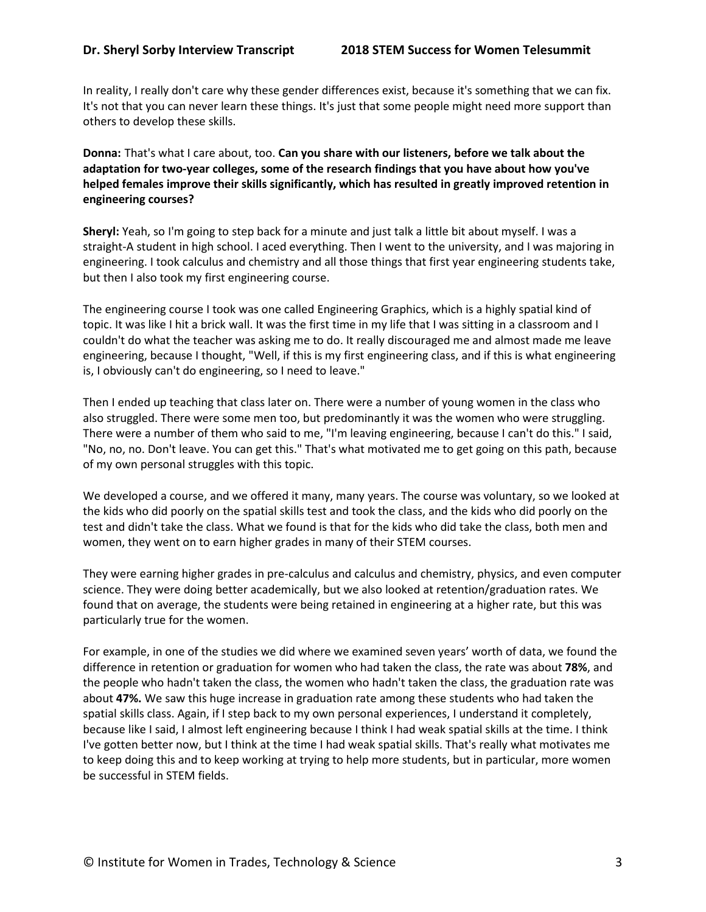In reality, I really don't care why these gender differences exist, because it's something that we can fix. It's not that you can never learn these things. It's just that some people might need more support than others to develop these skills.

**Donna:** That's what I care about, too. **Can you share with our listeners, before we talk about the adaptation for two-year colleges, some of the research findings that you have about how you've helped females improve their skills significantly, which has resulted in greatly improved retention in engineering courses?**

**Sheryl:** Yeah, so I'm going to step back for a minute and just talk a little bit about myself. I was a straight-A student in high school. I aced everything. Then I went to the university, and I was majoring in engineering. I took calculus and chemistry and all those things that first year engineering students take, but then I also took my first engineering course.

The engineering course I took was one called Engineering Graphics, which is a highly spatial kind of topic. It was like I hit a brick wall. It was the first time in my life that I was sitting in a classroom and I couldn't do what the teacher was asking me to do. It really discouraged me and almost made me leave engineering, because I thought, "Well, if this is my first engineering class, and if this is what engineering is, I obviously can't do engineering, so I need to leave."

Then I ended up teaching that class later on. There were a number of young women in the class who also struggled. There were some men too, but predominantly it was the women who were struggling. There were a number of them who said to me, "I'm leaving engineering, because I can't do this." I said, "No, no, no. Don't leave. You can get this." That's what motivated me to get going on this path, because of my own personal struggles with this topic.

We developed a course, and we offered it many, many years. The course was voluntary, so we looked at the kids who did poorly on the spatial skills test and took the class, and the kids who did poorly on the test and didn't take the class. What we found is that for the kids who did take the class, both men and women, they went on to earn higher grades in many of their STEM courses.

They were earning higher grades in pre-calculus and calculus and chemistry, physics, and even computer science. They were doing better academically, but we also looked at retention/graduation rates. We found that on average, the students were being retained in engineering at a higher rate, but this was particularly true for the women.

For example, in one of the studies we did where we examined seven years' worth of data, we found the difference in retention or graduation for women who had taken the class, the rate was about **78%**, and the people who hadn't taken the class, the women who hadn't taken the class, the graduation rate was about **47%.** We saw this huge increase in graduation rate among these students who had taken the spatial skills class. Again, if I step back to my own personal experiences, I understand it completely, because like I said, I almost left engineering because I think I had weak spatial skills at the time. I think I've gotten better now, but I think at the time I had weak spatial skills. That's really what motivates me to keep doing this and to keep working at trying to help more students, but in particular, more women be successful in STEM fields.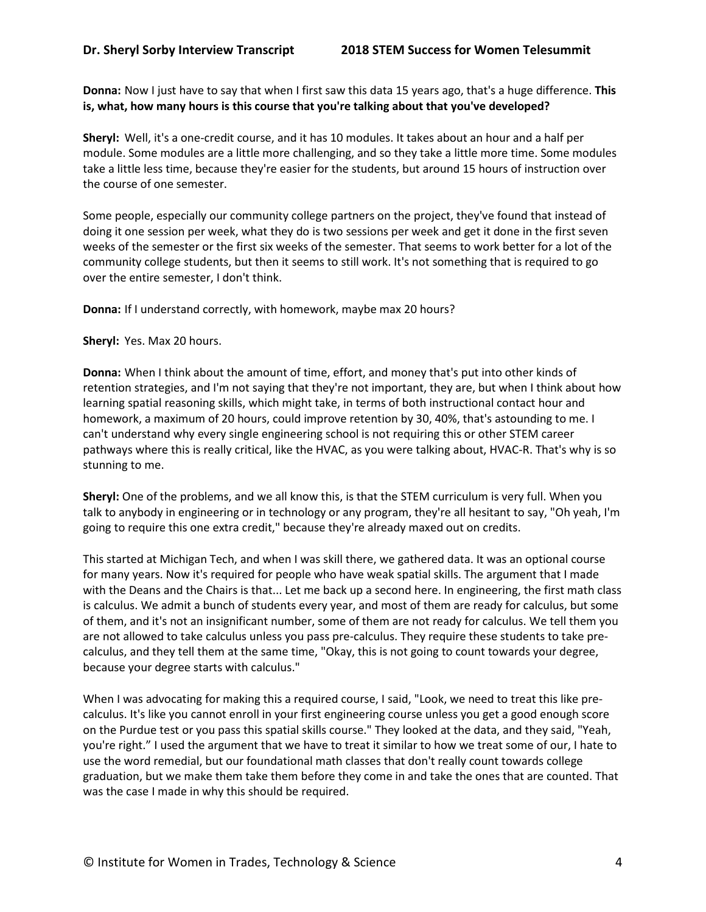**Donna:** Now I just have to say that when I first saw this data 15 years ago, that's a huge difference. **This is, what, how many hours is this course that you're talking about that you've developed?**

**Sheryl:** Well, it's a one-credit course, and it has 10 modules. It takes about an hour and a half per module. Some modules are a little more challenging, and so they take a little more time. Some modules take a little less time, because they're easier for the students, but around 15 hours of instruction over the course of one semester.

Some people, especially our community college partners on the project, they've found that instead of doing it one session per week, what they do is two sessions per week and get it done in the first seven weeks of the semester or the first six weeks of the semester. That seems to work better for a lot of the community college students, but then it seems to still work. It's not something that is required to go over the entire semester, I don't think.

**Donna:** If I understand correctly, with homework, maybe max 20 hours?

**Sheryl:** Yes. Max 20 hours.

**Donna:** When I think about the amount of time, effort, and money that's put into other kinds of retention strategies, and I'm not saying that they're not important, they are, but when I think about how learning spatial reasoning skills, which might take, in terms of both instructional contact hour and homework, a maximum of 20 hours, could improve retention by 30, 40%, that's astounding to me. I can't understand why every single engineering school is not requiring this or other STEM career pathways where this is really critical, like the HVAC, as you were talking about, HVAC-R. That's why is so stunning to me.

**Sheryl:** One of the problems, and we all know this, is that the STEM curriculum is very full. When you talk to anybody in engineering or in technology or any program, they're all hesitant to say, "Oh yeah, I'm going to require this one extra credit," because they're already maxed out on credits.

This started at Michigan Tech, and when I was skill there, we gathered data. It was an optional course for many years. Now it's required for people who have weak spatial skills. The argument that I made with the Deans and the Chairs is that... Let me back up a second here. In engineering, the first math class is calculus. We admit a bunch of students every year, and most of them are ready for calculus, but some of them, and it's not an insignificant number, some of them are not ready for calculus. We tell them you are not allowed to take calculus unless you pass pre-calculus. They require these students to take precalculus, and they tell them at the same time, "Okay, this is not going to count towards your degree, because your degree starts with calculus."

When I was advocating for making this a required course, I said, "Look, we need to treat this like precalculus. It's like you cannot enroll in your first engineering course unless you get a good enough score on the Purdue test or you pass this spatial skills course." They looked at the data, and they said, "Yeah, you're right." I used the argument that we have to treat it similar to how we treat some of our, I hate to use the word remedial, but our foundational math classes that don't really count towards college graduation, but we make them take them before they come in and take the ones that are counted. That was the case I made in why this should be required.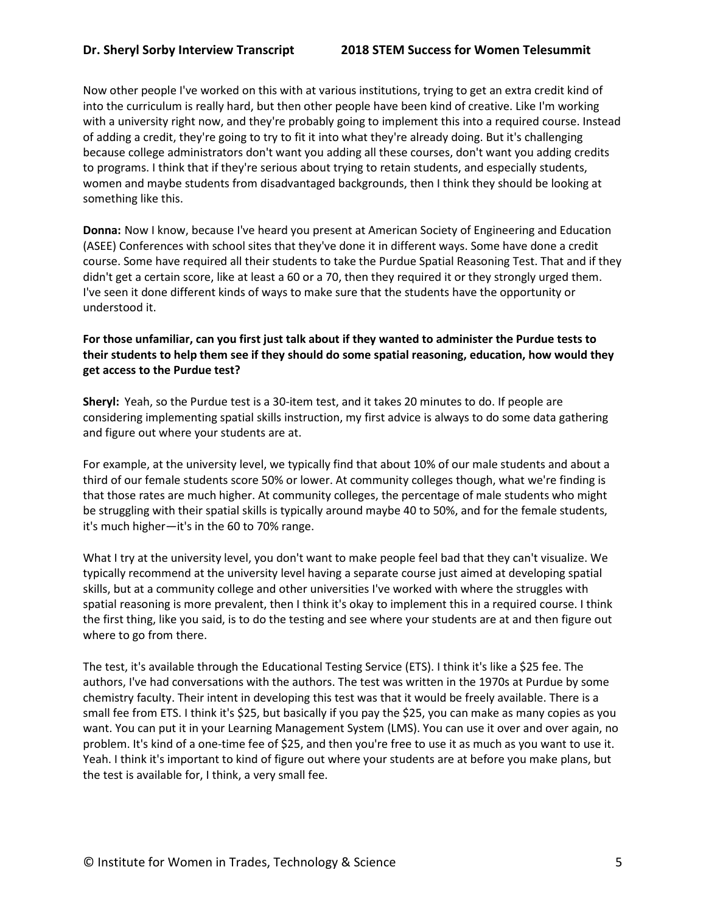Now other people I've worked on this with at various institutions, trying to get an extra credit kind of into the curriculum is really hard, but then other people have been kind of creative. Like I'm working with a university right now, and they're probably going to implement this into a required course. Instead of adding a credit, they're going to try to fit it into what they're already doing. But it's challenging because college administrators don't want you adding all these courses, don't want you adding credits to programs. I think that if they're serious about trying to retain students, and especially students, women and maybe students from disadvantaged backgrounds, then I think they should be looking at something like this.

**Donna:** Now I know, because I've heard you present at American Society of Engineering and Education (ASEE) Conferences with school sites that they've done it in different ways. Some have done a credit course. Some have required all their students to take the Purdue Spatial Reasoning Test. That and if they didn't get a certain score, like at least a 60 or a 70, then they required it or they strongly urged them. I've seen it done different kinds of ways to make sure that the students have the opportunity or understood it.

# **For those unfamiliar, can you first just talk about if they wanted to administer the Purdue tests to their students to help them see if they should do some spatial reasoning, education, how would they get access to the Purdue test?**

**Sheryl:** Yeah, so the Purdue test is a 30-item test, and it takes 20 minutes to do. If people are considering implementing spatial skills instruction, my first advice is always to do some data gathering and figure out where your students are at.

For example, at the university level, we typically find that about 10% of our male students and about a third of our female students score 50% or lower. At community colleges though, what we're finding is that those rates are much higher. At community colleges, the percentage of male students who might be struggling with their spatial skills is typically around maybe 40 to 50%, and for the female students, it's much higher—it's in the 60 to 70% range.

What I try at the university level, you don't want to make people feel bad that they can't visualize. We typically recommend at the university level having a separate course just aimed at developing spatial skills, but at a community college and other universities I've worked with where the struggles with spatial reasoning is more prevalent, then I think it's okay to implement this in a required course. I think the first thing, like you said, is to do the testing and see where your students are at and then figure out where to go from there.

The test, it's available through the Educational Testing Service (ETS). I think it's like a \$25 fee. The authors, I've had conversations with the authors. The test was written in the 1970s at Purdue by some chemistry faculty. Their intent in developing this test was that it would be freely available. There is a small fee from ETS. I think it's \$25, but basically if you pay the \$25, you can make as many copies as you want. You can put it in your Learning Management System (LMS). You can use it over and over again, no problem. It's kind of a one-time fee of \$25, and then you're free to use it as much as you want to use it. Yeah. I think it's important to kind of figure out where your students are at before you make plans, but the test is available for, I think, a very small fee.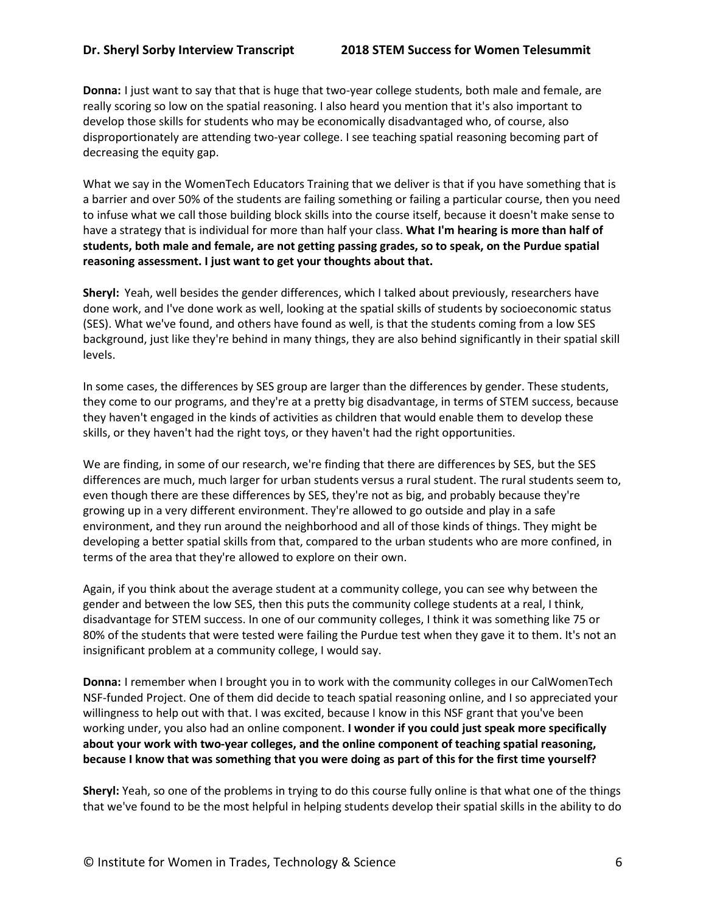**Donna:** I just want to say that that is huge that two-year college students, both male and female, are really scoring so low on the spatial reasoning. I also heard you mention that it's also important to develop those skills for students who may be economically disadvantaged who, of course, also disproportionately are attending two-year college. I see teaching spatial reasoning becoming part of decreasing the equity gap.

What we say in the WomenTech Educators Training that we deliver is that if you have something that is a barrier and over 50% of the students are failing something or failing a particular course, then you need to infuse what we call those building block skills into the course itself, because it doesn't make sense to have a strategy that is individual for more than half your class. **What I'm hearing is more than half of students, both male and female, are not getting passing grades, so to speak, on the Purdue spatial reasoning assessment. I just want to get your thoughts about that.**

**Sheryl:** Yeah, well besides the gender differences, which I talked about previously, researchers have done work, and I've done work as well, looking at the spatial skills of students by socioeconomic status (SES). What we've found, and others have found as well, is that the students coming from a low SES background, just like they're behind in many things, they are also behind significantly in their spatial skill levels.

In some cases, the differences by SES group are larger than the differences by gender. These students, they come to our programs, and they're at a pretty big disadvantage, in terms of STEM success, because they haven't engaged in the kinds of activities as children that would enable them to develop these skills, or they haven't had the right toys, or they haven't had the right opportunities.

We are finding, in some of our research, we're finding that there are differences by SES, but the SES differences are much, much larger for urban students versus a rural student. The rural students seem to, even though there are these differences by SES, they're not as big, and probably because they're growing up in a very different environment. They're allowed to go outside and play in a safe environment, and they run around the neighborhood and all of those kinds of things. They might be developing a better spatial skills from that, compared to the urban students who are more confined, in terms of the area that they're allowed to explore on their own.

Again, if you think about the average student at a community college, you can see why between the gender and between the low SES, then this puts the community college students at a real, I think, disadvantage for STEM success. In one of our community colleges, I think it was something like 75 or 80% of the students that were tested were failing the Purdue test when they gave it to them. It's not an insignificant problem at a community college, I would say.

**Donna:** I remember when I brought you in to work with the community colleges in our CalWomenTech NSF-funded Project. One of them did decide to teach spatial reasoning online, and I so appreciated your willingness to help out with that. I was excited, because I know in this NSF grant that you've been working under, you also had an online component. **I wonder if you could just speak more specifically about your work with two-year colleges, and the online component of teaching spatial reasoning, because I know that was something that you were doing as part of this for the first time yourself?**

**Sheryl:** Yeah, so one of the problems in trying to do this course fully online is that what one of the things that we've found to be the most helpful in helping students develop their spatial skills in the ability to do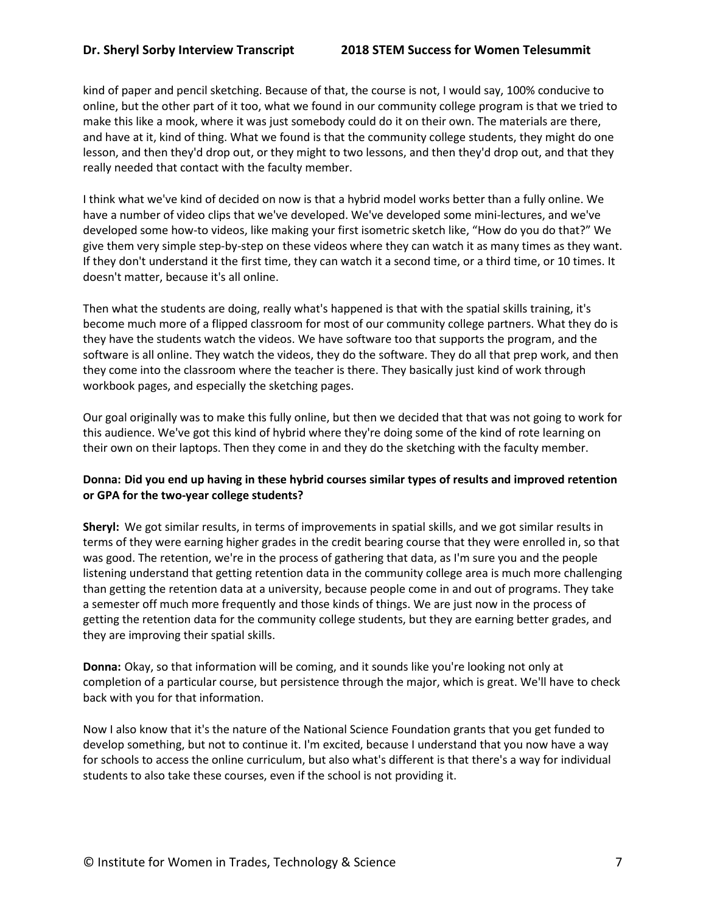kind of paper and pencil sketching. Because of that, the course is not, I would say, 100% conducive to online, but the other part of it too, what we found in our community college program is that we tried to make this like a mook, where it was just somebody could do it on their own. The materials are there, and have at it, kind of thing. What we found is that the community college students, they might do one lesson, and then they'd drop out, or they might to two lessons, and then they'd drop out, and that they really needed that contact with the faculty member.

I think what we've kind of decided on now is that a hybrid model works better than a fully online. We have a number of video clips that we've developed. We've developed some mini-lectures, and we've developed some how-to videos, like making your first isometric sketch like, "How do you do that?" We give them very simple step-by-step on these videos where they can watch it as many times as they want. If they don't understand it the first time, they can watch it a second time, or a third time, or 10 times. It doesn't matter, because it's all online.

Then what the students are doing, really what's happened is that with the spatial skills training, it's become much more of a flipped classroom for most of our community college partners. What they do is they have the students watch the videos. We have software too that supports the program, and the software is all online. They watch the videos, they do the software. They do all that prep work, and then they come into the classroom where the teacher is there. They basically just kind of work through workbook pages, and especially the sketching pages.

Our goal originally was to make this fully online, but then we decided that that was not going to work for this audience. We've got this kind of hybrid where they're doing some of the kind of rote learning on their own on their laptops. Then they come in and they do the sketching with the faculty member.

# **Donna: Did you end up having in these hybrid courses similar types of results and improved retention or GPA for the two-year college students?**

**Sheryl:** We got similar results, in terms of improvements in spatial skills, and we got similar results in terms of they were earning higher grades in the credit bearing course that they were enrolled in, so that was good. The retention, we're in the process of gathering that data, as I'm sure you and the people listening understand that getting retention data in the community college area is much more challenging than getting the retention data at a university, because people come in and out of programs. They take a semester off much more frequently and those kinds of things. We are just now in the process of getting the retention data for the community college students, but they are earning better grades, and they are improving their spatial skills.

**Donna:** Okay, so that information will be coming, and it sounds like you're looking not only at completion of a particular course, but persistence through the major, which is great. We'll have to check back with you for that information.

Now I also know that it's the nature of the National Science Foundation grants that you get funded to develop something, but not to continue it. I'm excited, because I understand that you now have a way for schools to access the online curriculum, but also what's different is that there's a way for individual students to also take these courses, even if the school is not providing it.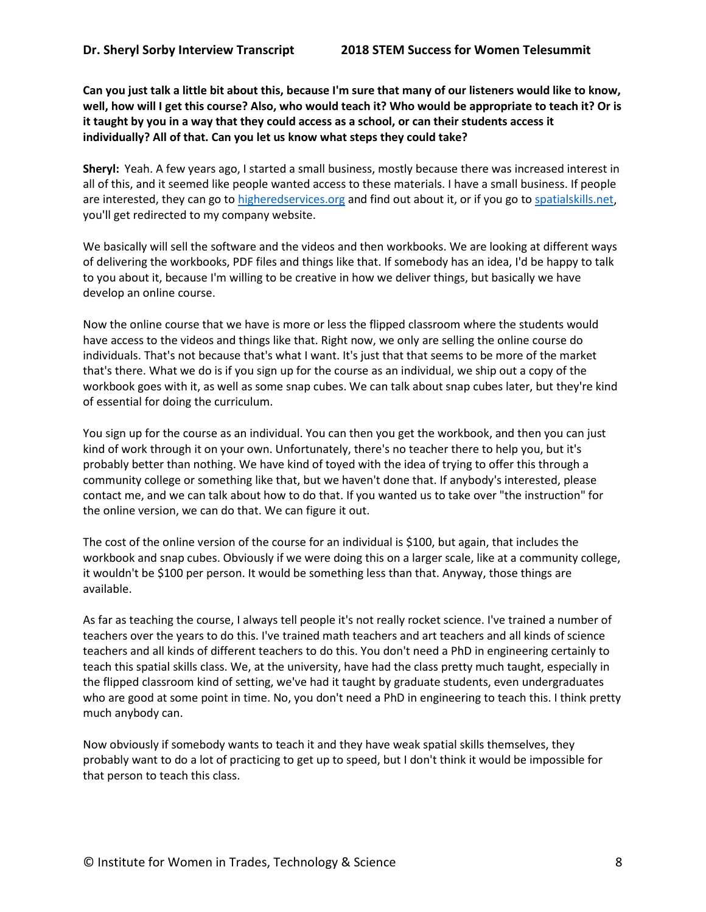**Can you just talk a little bit about this, because I'm sure that many of our listeners would like to know, well, how will I get this course? Also, who would teach it? Who would be appropriate to teach it? Or is it taught by you in a way that they could access as a school, or can their students access it individually? All of that. Can you let us know what steps they could take?**

**Sheryl:** Yeah. A few years ago, I started a small business, mostly because there was increased interest in all of this, and it seemed like people wanted access to these materials. I have a small business. If people are interested, they can go to higheredservices.org and find out about it, or if you go to spatialskills.net, you'll get redirected to my company website.

We basically will sell the software and the videos and then workbooks. We are looking at different ways of delivering the workbooks, PDF files and things like that. If somebody has an idea, I'd be happy to talk to you about it, because I'm willing to be creative in how we deliver things, but basically we have develop an online course.

Now the online course that we have is more or less the flipped classroom where the students would have access to the videos and things like that. Right now, we only are selling the online course do individuals. That's not because that's what I want. It's just that that seems to be more of the market that's there. What we do is if you sign up for the course as an individual, we ship out a copy of the workbook goes with it, as well as some snap cubes. We can talk about snap cubes later, but they're kind of essential for doing the curriculum.

You sign up for the course as an individual. You can then you get the workbook, and then you can just kind of work through it on your own. Unfortunately, there's no teacher there to help you, but it's probably better than nothing. We have kind of toyed with the idea of trying to offer this through a community college or something like that, but we haven't done that. If anybody's interested, please contact me, and we can talk about how to do that. If you wanted us to take over "the instruction" for the online version, we can do that. We can figure it out.

The cost of the online version of the course for an individual is \$100, but again, that includes the workbook and snap cubes. Obviously if we were doing this on a larger scale, like at a community college, it wouldn't be \$100 per person. It would be something less than that. Anyway, those things are available.

As far as teaching the course, I always tell people it's not really rocket science. I've trained a number of teachers over the years to do this. I've trained math teachers and art teachers and all kinds of science teachers and all kinds of different teachers to do this. You don't need a PhD in engineering certainly to teach this spatial skills class. We, at the university, have had the class pretty much taught, especially in the flipped classroom kind of setting, we've had it taught by graduate students, even undergraduates who are good at some point in time. No, you don't need a PhD in engineering to teach this. I think pretty much anybody can.

Now obviously if somebody wants to teach it and they have weak spatial skills themselves, they probably want to do a lot of practicing to get up to speed, but I don't think it would be impossible for that person to teach this class.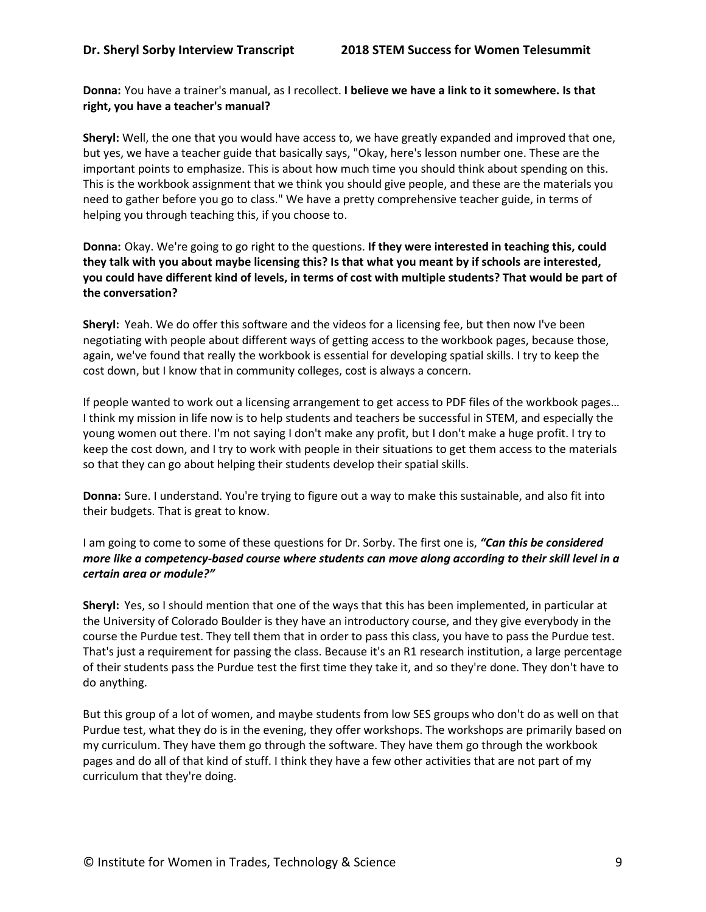**Donna:** You have a trainer's manual, as I recollect. **I believe we have a link to it somewhere. Is that right, you have a teacher's manual?**

**Sheryl:** Well, the one that you would have access to, we have greatly expanded and improved that one, but yes, we have a teacher guide that basically says, "Okay, here's lesson number one. These are the important points to emphasize. This is about how much time you should think about spending on this. This is the workbook assignment that we think you should give people, and these are the materials you need to gather before you go to class." We have a pretty comprehensive teacher guide, in terms of helping you through teaching this, if you choose to.

**Donna:** Okay. We're going to go right to the questions. **If they were interested in teaching this, could they talk with you about maybe licensing this? Is that what you meant by if schools are interested, you could have different kind of levels, in terms of cost with multiple students? That would be part of the conversation?**

**Sheryl:** Yeah. We do offer this software and the videos for a licensing fee, but then now I've been negotiating with people about different ways of getting access to the workbook pages, because those, again, we've found that really the workbook is essential for developing spatial skills. I try to keep the cost down, but I know that in community colleges, cost is always a concern.

If people wanted to work out a licensing arrangement to get access to PDF files of the workbook pages… I think my mission in life now is to help students and teachers be successful in STEM, and especially the young women out there. I'm not saying I don't make any profit, but I don't make a huge profit. I try to keep the cost down, and I try to work with people in their situations to get them access to the materials so that they can go about helping their students develop their spatial skills.

**Donna:** Sure. I understand. You're trying to figure out a way to make this sustainable, and also fit into their budgets. That is great to know.

I am going to come to some of these questions for Dr. Sorby. The first one is, *"Can this be considered more like a competency-based course where students can move along according to their skill level in a certain area or module?"*

**Sheryl:** Yes, so I should mention that one of the ways that this has been implemented, in particular at the University of Colorado Boulder is they have an introductory course, and they give everybody in the course the Purdue test. They tell them that in order to pass this class, you have to pass the Purdue test. That's just a requirement for passing the class. Because it's an R1 research institution, a large percentage of their students pass the Purdue test the first time they take it, and so they're done. They don't have to do anything.

But this group of a lot of women, and maybe students from low SES groups who don't do as well on that Purdue test, what they do is in the evening, they offer workshops. The workshops are primarily based on my curriculum. They have them go through the software. They have them go through the workbook pages and do all of that kind of stuff. I think they have a few other activities that are not part of my curriculum that they're doing.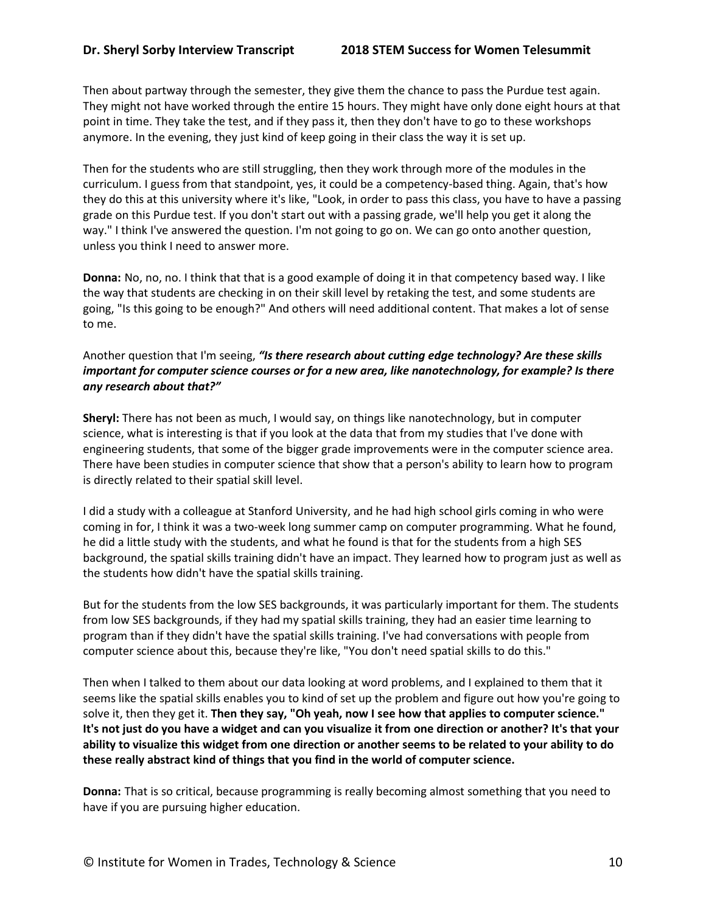Then about partway through the semester, they give them the chance to pass the Purdue test again. They might not have worked through the entire 15 hours. They might have only done eight hours at that point in time. They take the test, and if they pass it, then they don't have to go to these workshops anymore. In the evening, they just kind of keep going in their class the way it is set up.

Then for the students who are still struggling, then they work through more of the modules in the curriculum. I guess from that standpoint, yes, it could be a competency-based thing. Again, that's how they do this at this university where it's like, "Look, in order to pass this class, you have to have a passing grade on this Purdue test. If you don't start out with a passing grade, we'll help you get it along the way." I think I've answered the question. I'm not going to go on. We can go onto another question, unless you think I need to answer more.

**Donna:** No, no, no. I think that that is a good example of doing it in that competency based way. I like the way that students are checking in on their skill level by retaking the test, and some students are going, "Is this going to be enough?" And others will need additional content. That makes a lot of sense to me.

# Another question that I'm seeing, *"Is there research about cutting edge technology? Are these skills important for computer science courses or for a new area, like nanotechnology, for example? Is there any research about that?"*

**Sheryl:** There has not been as much, I would say, on things like nanotechnology, but in computer science, what is interesting is that if you look at the data that from my studies that I've done with engineering students, that some of the bigger grade improvements were in the computer science area. There have been studies in computer science that show that a person's ability to learn how to program is directly related to their spatial skill level.

I did a study with a colleague at Stanford University, and he had high school girls coming in who were coming in for, I think it was a two-week long summer camp on computer programming. What he found, he did a little study with the students, and what he found is that for the students from a high SES background, the spatial skills training didn't have an impact. They learned how to program just as well as the students how didn't have the spatial skills training.

But for the students from the low SES backgrounds, it was particularly important for them. The students from low SES backgrounds, if they had my spatial skills training, they had an easier time learning to program than if they didn't have the spatial skills training. I've had conversations with people from computer science about this, because they're like, "You don't need spatial skills to do this."

Then when I talked to them about our data looking at word problems, and I explained to them that it seems like the spatial skills enables you to kind of set up the problem and figure out how you're going to solve it, then they get it. **Then they say, "Oh yeah, now I see how that applies to computer science." It's not just do you have a widget and can you visualize it from one direction or another? It's that your ability to visualize this widget from one direction or another seems to be related to your ability to do these really abstract kind of things that you find in the world of computer science.**

**Donna:** That is so critical, because programming is really becoming almost something that you need to have if you are pursuing higher education.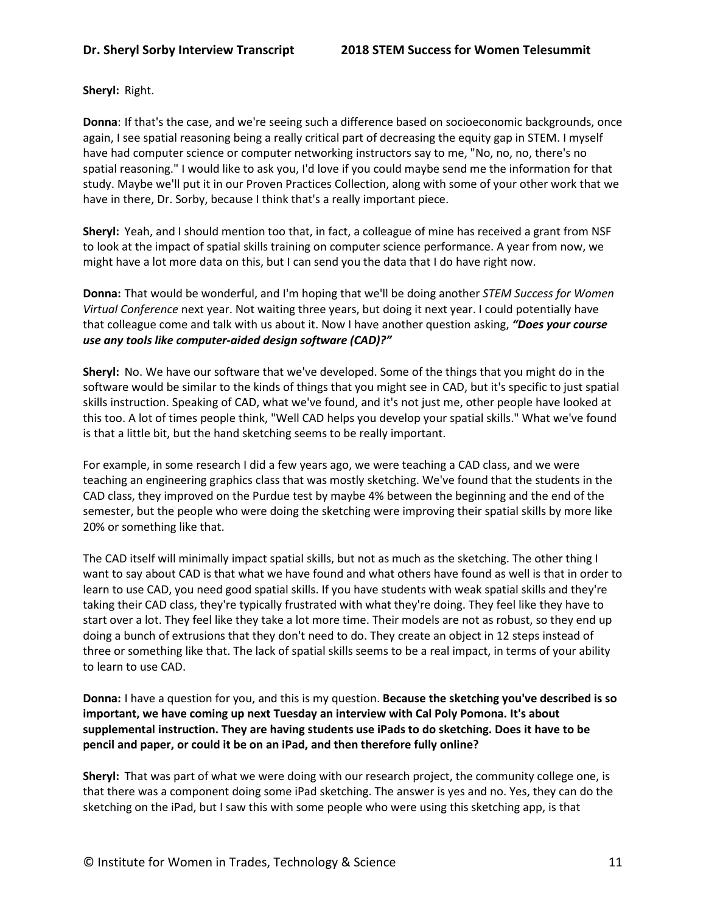**Sheryl:** Right.

**Donna**: If that's the case, and we're seeing such a difference based on socioeconomic backgrounds, once again, I see spatial reasoning being a really critical part of decreasing the equity gap in STEM. I myself have had computer science or computer networking instructors say to me, "No, no, no, there's no spatial reasoning." I would like to ask you, I'd love if you could maybe send me the information for that study. Maybe we'll put it in our Proven Practices Collection, along with some of your other work that we have in there, Dr. Sorby, because I think that's a really important piece.

**Sheryl:** Yeah, and I should mention too that, in fact, a colleague of mine has received a grant from NSF to look at the impact of spatial skills training on computer science performance. A year from now, we might have a lot more data on this, but I can send you the data that I do have right now.

**Donna:** That would be wonderful, and I'm hoping that we'll be doing another *STEM Success for Women Virtual Conference* next year. Not waiting three years, but doing it next year. I could potentially have that colleague come and talk with us about it. Now I have another question asking, *"Does your course use any tools like computer-aided design software (CAD)?"*

**Sheryl:** No. We have our software that we've developed. Some of the things that you might do in the software would be similar to the kinds of things that you might see in CAD, but it's specific to just spatial skills instruction. Speaking of CAD, what we've found, and it's not just me, other people have looked at this too. A lot of times people think, "Well CAD helps you develop your spatial skills." What we've found is that a little bit, but the hand sketching seems to be really important.

For example, in some research I did a few years ago, we were teaching a CAD class, and we were teaching an engineering graphics class that was mostly sketching. We've found that the students in the CAD class, they improved on the Purdue test by maybe 4% between the beginning and the end of the semester, but the people who were doing the sketching were improving their spatial skills by more like 20% or something like that.

The CAD itself will minimally impact spatial skills, but not as much as the sketching. The other thing I want to say about CAD is that what we have found and what others have found as well is that in order to learn to use CAD, you need good spatial skills. If you have students with weak spatial skills and they're taking their CAD class, they're typically frustrated with what they're doing. They feel like they have to start over a lot. They feel like they take a lot more time. Their models are not as robust, so they end up doing a bunch of extrusions that they don't need to do. They create an object in 12 steps instead of three or something like that. The lack of spatial skills seems to be a real impact, in terms of your ability to learn to use CAD.

**Donna:** I have a question for you, and this is my question. **Because the sketching you've described is so important, we have coming up next Tuesday an interview with Cal Poly Pomona. It's about supplemental instruction. They are having students use iPads to do sketching. Does it have to be pencil and paper, or could it be on an iPad, and then therefore fully online?**

**Sheryl:** That was part of what we were doing with our research project, the community college one, is that there was a component doing some iPad sketching. The answer is yes and no. Yes, they can do the sketching on the iPad, but I saw this with some people who were using this sketching app, is that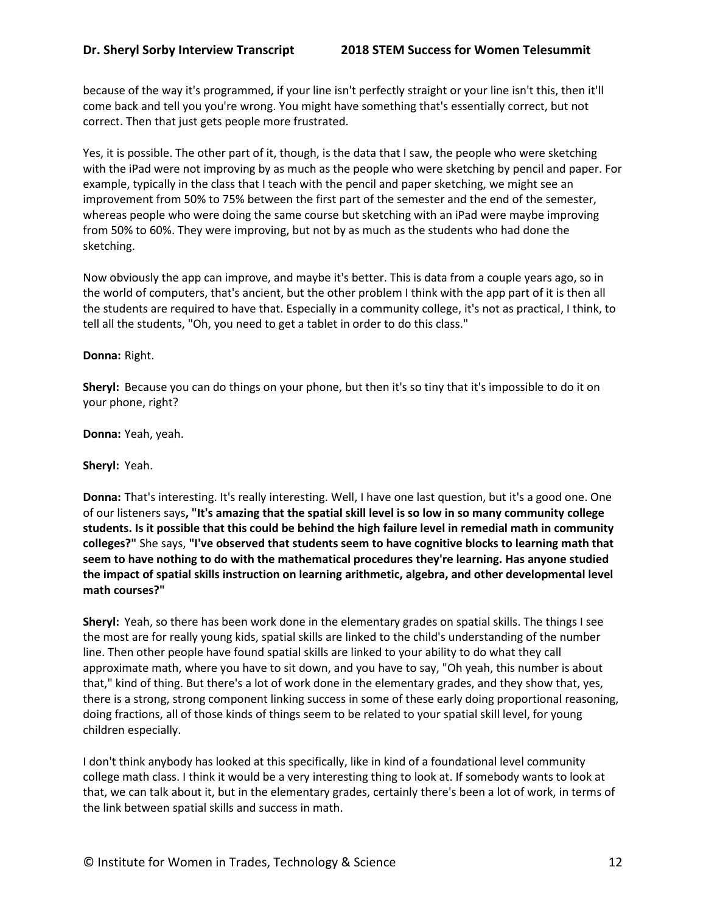because of the way it's programmed, if your line isn't perfectly straight or your line isn't this, then it'll come back and tell you you're wrong. You might have something that's essentially correct, but not correct. Then that just gets people more frustrated.

Yes, it is possible. The other part of it, though, is the data that I saw, the people who were sketching with the iPad were not improving by as much as the people who were sketching by pencil and paper. For example, typically in the class that I teach with the pencil and paper sketching, we might see an improvement from 50% to 75% between the first part of the semester and the end of the semester, whereas people who were doing the same course but sketching with an iPad were maybe improving from 50% to 60%. They were improving, but not by as much as the students who had done the sketching.

Now obviously the app can improve, and maybe it's better. This is data from a couple years ago, so in the world of computers, that's ancient, but the other problem I think with the app part of it is then all the students are required to have that. Especially in a community college, it's not as practical, I think, to tell all the students, "Oh, you need to get a tablet in order to do this class."

### **Donna:** Right.

**Sheryl:** Because you can do things on your phone, but then it's so tiny that it's impossible to do it on your phone, right?

**Donna:** Yeah, yeah.

**Sheryl:** Yeah.

**Donna:** That's interesting. It's really interesting. Well, I have one last question, but it's a good one. One of our listeners says**, "It's amazing that the spatial skill level is so low in so many community college students. Is it possible that this could be behind the high failure level in remedial math in community colleges?"** She says, **"I've observed that students seem to have cognitive blocks to learning math that seem to have nothing to do with the mathematical procedures they're learning. Has anyone studied the impact of spatial skills instruction on learning arithmetic, algebra, and other developmental level math courses?"**

**Sheryl:** Yeah, so there has been work done in the elementary grades on spatial skills. The things I see the most are for really young kids, spatial skills are linked to the child's understanding of the number line. Then other people have found spatial skills are linked to your ability to do what they call approximate math, where you have to sit down, and you have to say, "Oh yeah, this number is about that," kind of thing. But there's a lot of work done in the elementary grades, and they show that, yes, there is a strong, strong component linking success in some of these early doing proportional reasoning, doing fractions, all of those kinds of things seem to be related to your spatial skill level, for young children especially.

I don't think anybody has looked at this specifically, like in kind of a foundational level community college math class. I think it would be a very interesting thing to look at. If somebody wants to look at that, we can talk about it, but in the elementary grades, certainly there's been a lot of work, in terms of the link between spatial skills and success in math.